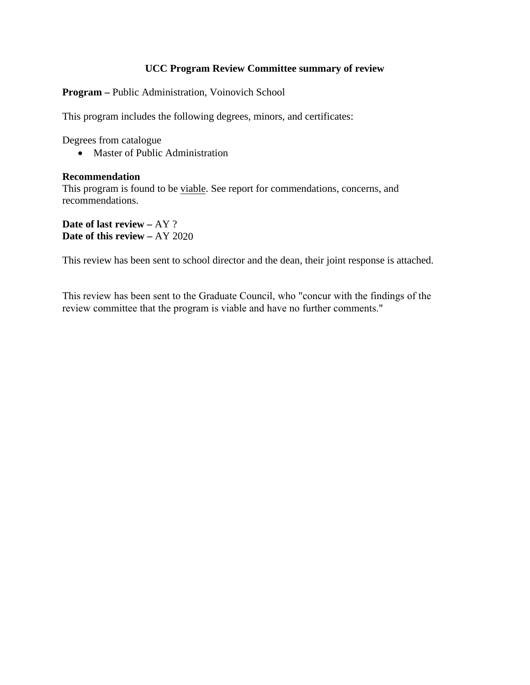### **UCC Program Review Committee summary of review**

**Program –** Public Administration, Voinovich School

This program includes the following degrees, minors, and certificates:

Degrees from catalogue

• Master of Public Administration

#### **Recommendation**

This program is found to be viable. See report for commendations, concerns, and recommendations.

**Date of last review –** AY ? **Date of this review –** AY 2020

This review has been sent to school director and the dean, their joint response is attached.

This review has been sent to the Graduate Council, who "concur with the findings of the review committee that the program is viable and have no further comments."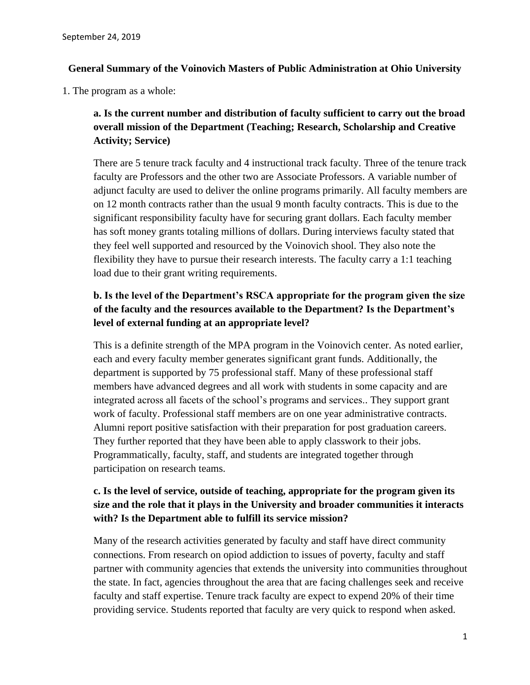### **General Summary of the Voinovich Masters of Public Administration at Ohio University**

1. The program as a whole:

**a. Is the current number and distribution of faculty sufficient to carry out the broad overall mission of the Department (Teaching; Research, Scholarship and Creative Activity; Service)**

There are 5 tenure track faculty and 4 instructional track faculty. Three of the tenure track faculty are Professors and the other two are Associate Professors. A variable number of adjunct faculty are used to deliver the online programs primarily. All faculty members are on 12 month contracts rather than the usual 9 month faculty contracts. This is due to the significant responsibility faculty have for securing grant dollars. Each faculty member has soft money grants totaling millions of dollars. During interviews faculty stated that they feel well supported and resourced by the Voinovich shool. They also note the flexibility they have to pursue their research interests. The faculty carry a 1:1 teaching load due to their grant writing requirements.

# **b. Is the level of the Department's RSCA appropriate for the program given the size of the faculty and the resources available to the Department? Is the Department's level of external funding at an appropriate level?**

This is a definite strength of the MPA program in the Voinovich center. As noted earlier, each and every faculty member generates significant grant funds. Additionally, the department is supported by 75 professional staff. Many of these professional staff members have advanced degrees and all work with students in some capacity and are integrated across all facets of the school's programs and services.. They support grant work of faculty. Professional staff members are on one year administrative contracts. Alumni report positive satisfaction with their preparation for post graduation careers. They further reported that they have been able to apply classwork to their jobs. Programmatically, faculty, staff, and students are integrated together through participation on research teams.

## **c. Is the level of service, outside of teaching, appropriate for the program given its size and the role that it plays in the University and broader communities it interacts with? Is the Department able to fulfill its service mission?**

Many of the research activities generated by faculty and staff have direct community connections. From research on opiod addiction to issues of poverty, faculty and staff partner with community agencies that extends the university into communities throughout the state. In fact, agencies throughout the area that are facing challenges seek and receive faculty and staff expertise. Tenure track faculty are expect to expend 20% of their time providing service. Students reported that faculty are very quick to respond when asked.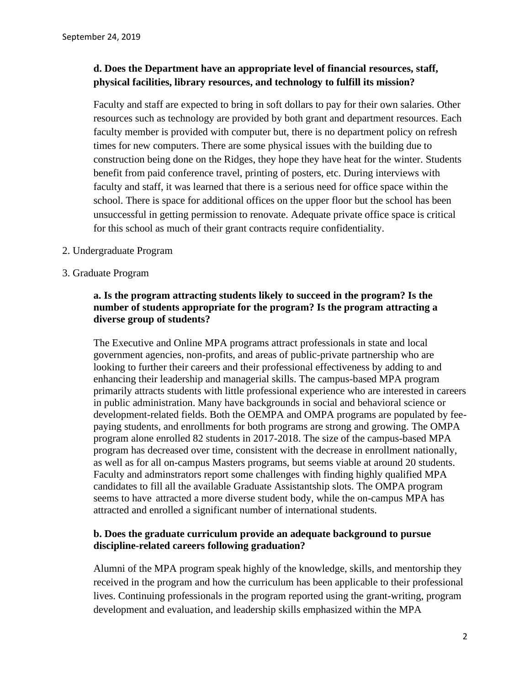## **d. Does the Department have an appropriate level of financial resources, staff, physical facilities, library resources, and technology to fulfill its mission?**

Faculty and staff are expected to bring in soft dollars to pay for their own salaries. Other resources such as technology are provided by both grant and department resources. Each faculty member is provided with computer but, there is no department policy on refresh times for new computers. There are some physical issues with the building due to construction being done on the Ridges, they hope they have heat for the winter. Students benefit from paid conference travel, printing of posters, etc. During interviews with faculty and staff, it was learned that there is a serious need for office space within the school. There is space for additional offices on the upper floor but the school has been unsuccessful in getting permission to renovate. Adequate private office space is critical for this school as much of their grant contracts require confidentiality.

- 2. Undergraduate Program
- 3. Graduate Program

### **a. Is the program attracting students likely to succeed in the program? Is the number of students appropriate for the program? Is the program attracting a diverse group of students?**

The Executive and Online MPA programs attract professionals in state and local government agencies, non-profits, and areas of public-private partnership who are looking to further their careers and their professional effectiveness by adding to and enhancing their leadership and managerial skills. The campus-based MPA program primarily attracts students with little professional experience who are interested in careers in public administration. Many have backgrounds in social and behavioral science or development-related fields. Both the OEMPA and OMPA programs are populated by feepaying students, and enrollments for both programs are strong and growing. The OMPA program alone enrolled 82 students in 2017-2018. The size of the campus-based MPA program has decreased over time, consistent with the decrease in enrollment nationally, as well as for all on-campus Masters programs, but seems viable at around 20 students. Faculty and adminstrators report some challenges with finding highly qualified MPA candidates to fill all the available Graduate Assistantship slots. The OMPA program seems to have attracted a more diverse student body, while the on-campus MPA has attracted and enrolled a significant number of international students.

## **b. Does the graduate curriculum provide an adequate background to pursue discipline-related careers following graduation?**

Alumni of the MPA program speak highly of the knowledge, skills, and mentorship they received in the program and how the curriculum has been applicable to their professional lives. Continuing professionals in the program reported using the grant-writing, program development and evaluation, and leadership skills emphasized within the MPA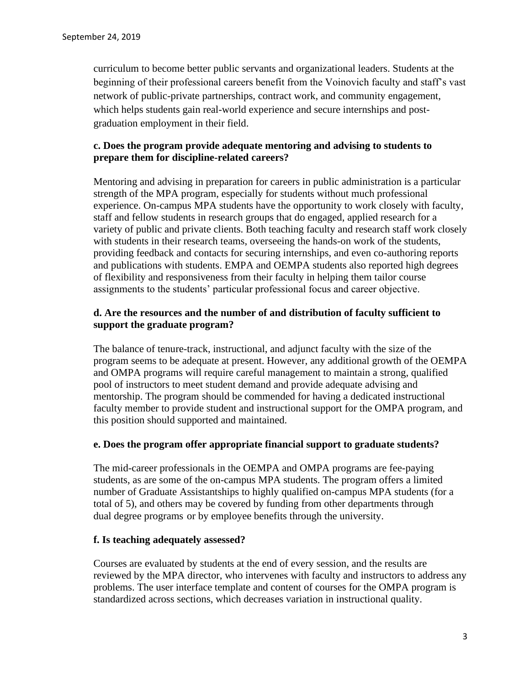curriculum to become better public servants and organizational leaders. Students at the beginning of their professional careers benefit from the Voinovich faculty and staff's vast network of public-private partnerships, contract work, and community engagement, which helps students gain real-world experience and secure internships and postgraduation employment in their field.

## **c. Does the program provide adequate mentoring and advising to students to prepare them for discipline-related careers?**

Mentoring and advising in preparation for careers in public administration is a particular strength of the MPA program, especially for students without much professional experience. On-campus MPA students have the opportunity to work closely with faculty, staff and fellow students in research groups that do engaged, applied research for a variety of public and private clients. Both teaching faculty and research staff work closely with students in their research teams, overseeing the hands-on work of the students, providing feedback and contacts for securing internships, and even co-authoring reports and publications with students. EMPA and OEMPA students also reported high degrees of flexibility and responsiveness from their faculty in helping them tailor course assignments to the students' particular professional focus and career objective.

### **d. Are the resources and the number of and distribution of faculty sufficient to support the graduate program?**

The balance of tenure-track, instructional, and adjunct faculty with the size of the program seems to be adequate at present. However, any additional growth of the OEMPA and OMPA programs will require careful management to maintain a strong, qualified pool of instructors to meet student demand and provide adequate advising and mentorship. The program should be commended for having a dedicated instructional faculty member to provide student and instructional support for the OMPA program, and this position should supported and maintained.

#### **e. Does the program offer appropriate financial support to graduate students?**

The mid-career professionals in the OEMPA and OMPA programs are fee-paying students, as are some of the on-campus MPA students. The program offers a limited number of Graduate Assistantships to highly qualified on-campus MPA students (for a total of 5), and others may be covered by funding from other departments through dual degree programs or by employee benefits through the university.

#### **f. Is teaching adequately assessed?**

Courses are evaluated by students at the end of every session, and the results are reviewed by the MPA director, who intervenes with faculty and instructors to address any problems. The user interface template and content of courses for the OMPA program is standardized across sections, which decreases variation in instructional quality.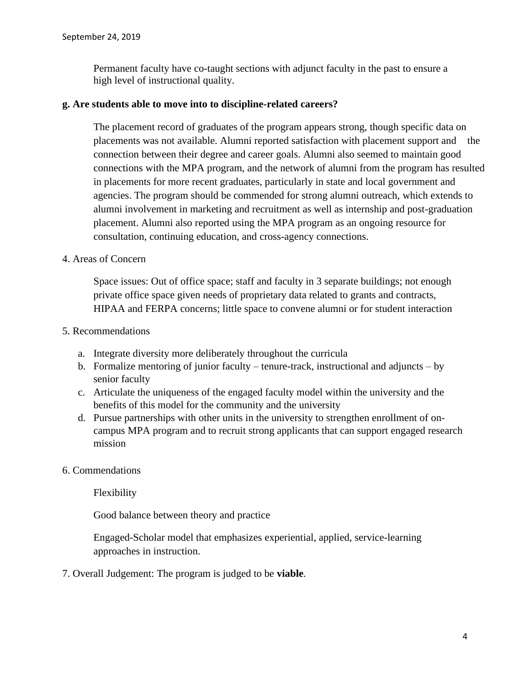Permanent faculty have co-taught sections with adjunct faculty in the past to ensure a high level of instructional quality.

#### **g. Are students able to move into to discipline-related careers?**

The placement record of graduates of the program appears strong, though specific data on placements was not available. Alumni reported satisfaction with placement support and the connection between their degree and career goals. Alumni also seemed to maintain good connections with the MPA program, and the network of alumni from the program has resulted in placements for more recent graduates, particularly in state and local government and agencies. The program should be commended for strong alumni outreach, which extends to alumni involvement in marketing and recruitment as well as internship and post-graduation placement. Alumni also reported using the MPA program as an ongoing resource for consultation, continuing education, and cross-agency connections.

### 4. Areas of Concern

Space issues: Out of office space; staff and faculty in 3 separate buildings; not enough private office space given needs of proprietary data related to grants and contracts, HIPAA and FERPA concerns; little space to convene alumni or for student interaction

### 5. Recommendations

- a. Integrate diversity more deliberately throughout the curricula
- b. Formalize mentoring of junior faculty tenure-track, instructional and adjuncts by senior faculty
- c. Articulate the uniqueness of the engaged faculty model within the university and the benefits of this model for the community and the university
- d. Pursue partnerships with other units in the university to strengthen enrollment of oncampus MPA program and to recruit strong applicants that can support engaged research mission
- 6. Commendations

Flexibility

Good balance between theory and practice

Engaged-Scholar model that emphasizes experiential, applied, service-learning approaches in instruction.

7. Overall Judgement: The program is judged to be **viable**.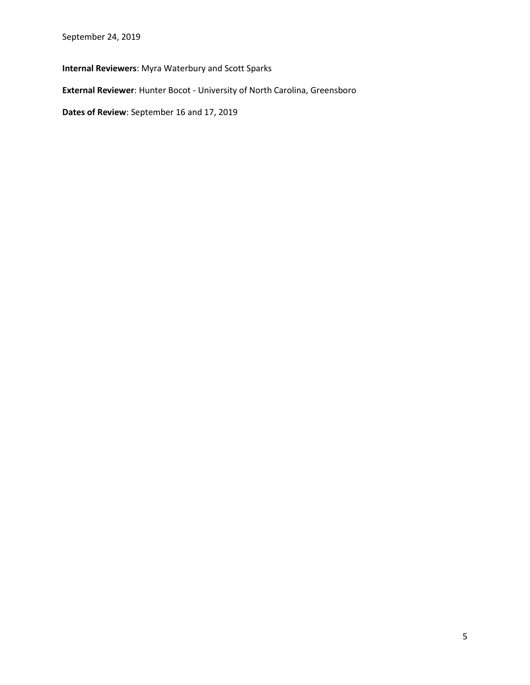September 24, 2019

**Internal Reviewers**: Myra Waterbury and Scott Sparks

**External Reviewer**: Hunter Bocot - University of North Carolina, Greensboro

**Dates of Review**: September 16 and 17, 2019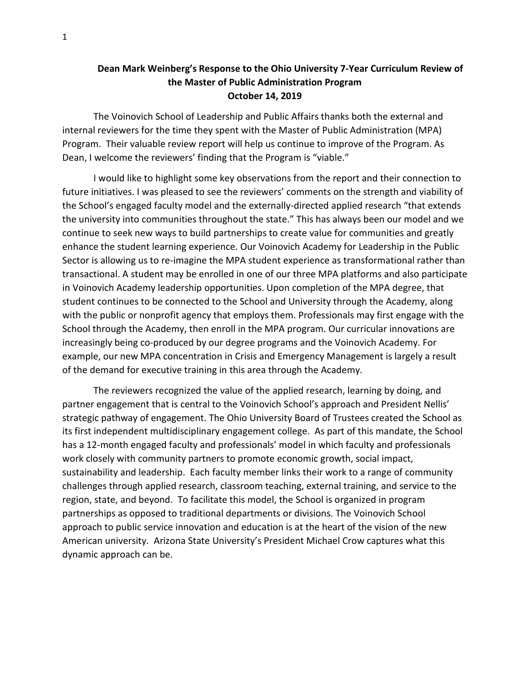## **Dean Mark Weinberg's Response to the Ohio University 7-Year Curriculum Review of the Master of Public Administration Program October 14, 2019**

The Voinovich School of Leadership and Public Affairs thanks both the external and internal reviewers for the time they spent with the Master of Public Administration (MPA) Program. Their valuable review report will help us continue to improve of the Program. As Dean, I welcome the reviewers' finding that the Program is "viable."

I would like to highlight some key observations from the report and their connection to future initiatives. I was pleased to see the reviewers' comments on the strength and viability of the School's engaged faculty model and the externally-directed applied research "that extends the university into communities throughout the state." This has always been our model and we continue to seek new ways to build partnerships to create value for communities and greatly enhance the student learning experience. Our Voinovich Academy for Leadership in the Public Sector is allowing us to re-imagine the MPA student experience as transformational rather than transactional. A student may be enrolled in one of our three MPA platforms and also participate in Voinovich Academy leadership opportunities. Upon completion of the MPA degree, that student continues to be connected to the School and University through the Academy, along with the public or nonprofit agency that employs them. Professionals may first engage with the School through the Academy, then enroll in the MPA program. Our curricular innovations are increasingly being co-produced by our degree programs and the Voinovich Academy. For example, our new MPA concentration in Crisis and Emergency Management is largely a result of the demand for executive training in this area through the Academy.

The reviewers recognized the value of the applied research, learning by doing, and partner engagement that is central to the Voinovich School's approach and President Nellis' strategic pathway of engagement. The Ohio University Board of Trustees created the School as its first independent multidisciplinary engagement college. As part of this mandate, the School has a 12-month engaged faculty and professionals' model in which faculty and professionals work closely with community partners to promote economic growth, social impact, sustainability and leadership. Each faculty member links their work to a range of community challenges through applied research, classroom teaching, external training, and service to the region, state, and beyond. To facilitate this model, the School is organized in program partnerships as opposed to traditional departments or divisions. The Voinovich School approach to public service innovation and education is at the heart of the vision of the new American university. Arizona State University's President Michael Crow captures what this dynamic approach can be.